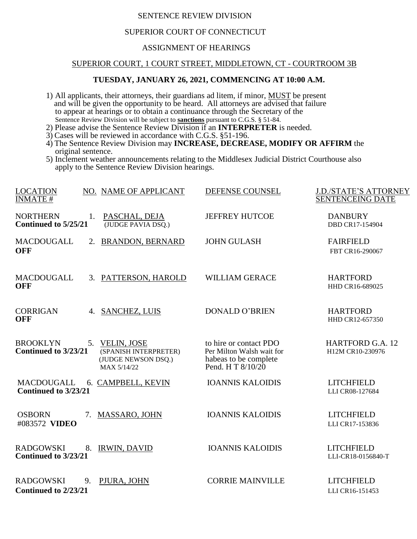# SENTENCE REVIEW DIVISION

# SUPERIOR COURT OF CONNECTICUT

### ASSIGNMENT OF HEARINGS

### SUPERIOR COURT, 1 COURT STREET, MIDDLETOWN, CT - COURTROOM 3B

#### **TUESDAY, JANUARY 26, 2021, COMMENCING AT 10:00 A.M.**

- 1) All applicants, their attorneys, their guardians ad litem, if minor, MUST be present and will be given the opportunity to be heard. All attorneys are advised that failure to appear at hearings or to obtain a continuance through the Secretary of the Sentence Review Division will be subject to **sanctions** pursuant to C.G.S. § 51-84.
- 2) Please advise the Sentence Review Division if an **INTERPRETER** is needed.
- 3) Cases will be reviewed in accordance with C.G.S. §51-196.
- 4) The Sentence Review Division may **INCREASE, DECREASE, MODIFY OR AFFIRM** the original sentence.
- 5) Inclement weather announcements relating to the Middlesex Judicial District Courthouse also apply to the Sentence Review Division hearings.

| <b>LOCATION</b><br><b>INMATE#</b>                                  | NO. NAME OF APPLICANT                                                         | DEFENSE COUNSEL                                                                                     | <b>J.D./STATE'S ATTORNEY</b><br><b>SENTENCEING DATE</b> |
|--------------------------------------------------------------------|-------------------------------------------------------------------------------|-----------------------------------------------------------------------------------------------------|---------------------------------------------------------|
| <b>NORTHERN</b><br>Continued to 5/25/21                            | 1. PASCHAL, DEJA<br>(JUDGE PAVIA DSQ.)                                        | <b>JEFFREY HUTCOE</b>                                                                               | <b>DANBURY</b><br><b>DBD CR17-154904</b>                |
| <b>MACDOUGALL</b><br><b>OFF</b>                                    | 2. BRANDON, BERNARD                                                           | <b>JOHN GULASH</b>                                                                                  | <b>FAIRFIELD</b><br>FBT CR16-290067                     |
| <b>MACDOUGALL</b><br><b>OFF</b>                                    | 3. PATTERSON, HAROLD                                                          | <b>WILLIAM GERACE</b>                                                                               | <b>HARTFORD</b><br>HHD CR16-689025                      |
| <b>CORRIGAN</b><br><b>OFF</b>                                      | 4. SANCHEZ, LUIS                                                              | <b>DONALD O'BRIEN</b>                                                                               | <b>HARTFORD</b><br>HHD CR12-657350                      |
| <b>BROOKLYN</b><br>Continued to 3/23/21                            | 5. VELIN, JOSE<br>(SPANISH INTERPRETER)<br>(JUDGE NEWSON DSQ.)<br>MAX 5/14/22 | to hire or contact PDO<br>Per Milton Walsh wait for<br>habeas to be complete<br>Pend. H T $8/10/20$ | <b>HARTFORD G.A. 12</b><br>H12M CR10-230976             |
| <b>MACDOUGALL</b><br>Continued to 3/23/21                          | 6. CAMPBELL, KEVIN                                                            | <b>IOANNIS KALOIDIS</b>                                                                             | <b>LITCHFIELD</b><br>LLI CR08-127684                    |
| <b>OSBORN</b><br>$7_{\scriptscriptstyle{\ddots}}$<br>#083572 VIDEO | MASSARO, JOHN                                                                 | <b>IOANNIS KALOIDIS</b>                                                                             | <b>LITCHFIELD</b><br>LLI CR17-153836                    |
| <b>RADGOWSKI</b><br>Continued to 3/23/21                           | 8. IRWIN, DAVID                                                               | <b>IOANNIS KALOIDIS</b>                                                                             | <b>LITCHFIELD</b><br>LLI-CR18-0156840-T                 |
| <b>RADGOWSKI</b><br>9.<br>Continued to 2/23/21                     | PJURA, JOHN                                                                   | <b>CORRIE MAINVILLE</b>                                                                             | <b>LITCHFIELD</b><br>LLI CR16-151453                    |